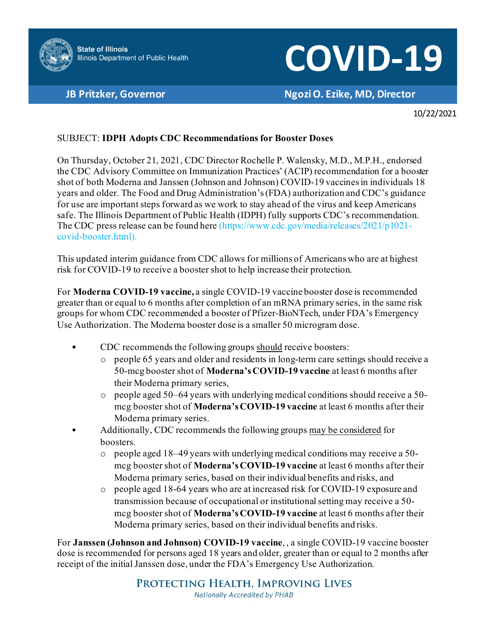

## **COVID-19**

**JB Pritzker, Governor Ngozi O. Ezike, MD, Director**

10/22/2021

## SUBJECT: **IDPH Adopts CDC Recommendations for Booster Doses**

On Thursday, October 21, 2021, CDC Director Rochelle P. Walensky, M.D., M.P.H., endorsed the CDC Advisory Committee on Immunization Practices' (ACIP) recommendation for a booster shot of both Moderna and Janssen (Johnson and Johnson) COVID-19 vaccines in individuals 18 years and older. The Food and Drug Administration's (FDA) authorization and CDC's guidance for use are important steps forward as we work to stay ahead of the virus and keep Americans safe. The Illinois Department of Public Health (IDPH) fully supports CDC's recommendation. The CDC press release can be found here (https://www.cdc.gov/media/releases/2021/p1021 covid-booster.html).

This updated interim guidance from CDC allows for millions of Americans who are at highest risk for COVID-19 to receive a booster shot to help increase their protection.

For **Moderna COVID-19 vaccine,** a single COVID-19 vaccine booster dose is recommended greater than or equal to 6 months after completion of an mRNA primary series, in the same risk groups for whom CDC recommended a booster of Pfizer-BioNTech, under FDA's Emergency Use Authorization. The Moderna booster dose is a smaller 50 microgram dose.

- CDC recommends the following groups should receive boosters:
	- o people 65 years and older and residents in long-term care settings should receive a 50-mcg booster shot of **Moderna's COVID-19 vaccine** at least 6 months after their Moderna primary series,
	- $\circ$  people aged 50–64 years with underlying medical conditions should receive a 50mcg booster shot of **Moderna's COVID-19 vaccine** at least 6 months after their Moderna primary series.
	- Additionally, CDC recommends the following groups may be considered for boosters.
		- o people aged 18–49 years with underlying medical conditions may receive a 50 mcg booster shot of **Moderna's COVID-19 vaccine** at least 6 months after their Moderna primary series, based on their individual benefits and risks, and
		- o people aged 18-64 years who are at increased risk for COVID-19 exposure and transmission because of occupational or institutional setting may receive a 50 mcg booster shot of **Moderna's COVID-19 vaccine** at least 6 months after their Moderna primary series, based on their individual benefits and risks.

For **Janssen (Johnson and Johnson) COVID-19 vaccine**, , a single COVID-19 vaccine booster dose is recommended for persons aged 18 years and older, greater than or equal to 2 months after receipt of the initial Janssen dose, under the FDA's Emergency Use Authorization.